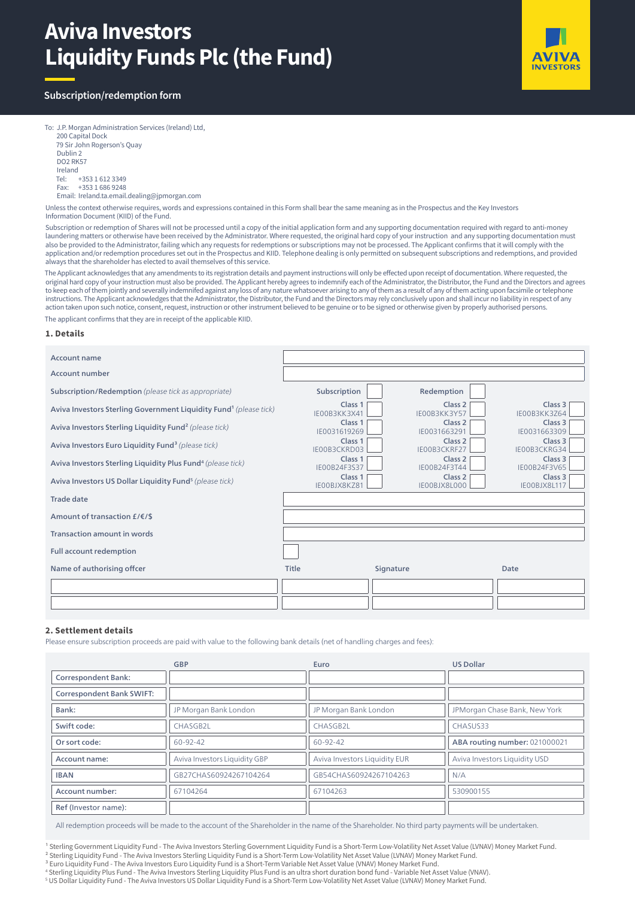# **Aviva Investors Liquidity Funds Plc (the Fund)**



# **Subscription/redemption form**

To: J.P. Morgan Administration Services (Ireland) Ltd, 200 Capital Dock 79 Sir John Rogerson's Quay Dublin 2 DO2 RK57 Ireland Tel: +353 1 612 3349 Fax: +353 1 686 9248 Email: Ireland.ta.email.dealing@jpmorgan.com

Unless the context otherwise requires, words and expressions contained in this Form shall bear the same meaning as in the Prospectus and the Key Investors Information Document (KIID) of the Fund.

Subscription or redemption of Shares will not be processed until a copy of the initial application form and any supporting documentation required with regard to anti-money laundering matters or otherwise have been received by the Administrator. Where requested, the original hard copy of your instruction and any supporting documentation must also be provided to the Administrator, failing which any requests for redemptions or subscriptions may not be processed. The Applicant confirms that it will comply with the application and/or redemption procedures set out in the Prospectus and KIID. Telephone dealing is only permitted on subsequent subscriptions and redemptions, and provided always that the shareholder has elected to avail themselves of this service.

The Applicant acknowledges that any amendments to its registration details and payment instructions will only be effected upon receipt of documentation. Where requested, the original hard copy of your instruction must also be provided. The Applicant hereby agrees to indemnify each of the Administrator, the Distributor, the Fund and the Directors and agrees to keep each of them jointly and severally indemnifed against any loss of any nature whatsoever arising to any of them as a result of any of them acting upon facsimile or telephone instructions. The Applicant acknowledges that the Administrator, the Distributor, the Fund and the Directors may rely conclusively upon and shall incur no liability in respect of any action taken upon such notice, consent, request, instruction or other instrument believed to be genuine or to be signed or otherwise given by properly authorised persons. The applicant confirms that they are in receipt of the applicable KIID.

#### **1. Details**

| Account name                                                                  |                                    |           |                                    |                                    |
|-------------------------------------------------------------------------------|------------------------------------|-----------|------------------------------------|------------------------------------|
| Account number                                                                |                                    |           |                                    |                                    |
| Subscription/Redemption (please tick as appropriate)                          | Subscription                       |           | Redemption                         |                                    |
| Aviva Investors Sterling Government Liquidity Fund <sup>1</sup> (please tick) | Class <sub>1</sub><br>IE00B3KK3X41 |           | Class <sub>2</sub><br>IE00B3KK3Y57 | Class 3<br>IE00B3KK3764            |
| Aviva Investors Sterling Liquidity Fund <sup>2</sup> (please tick)            | Class <sub>1</sub><br>IE0031619269 |           | Class <sub>2</sub><br>IE0031663291 | Class 3<br>IE0031663309            |
| Aviva Investors Euro Liquidity Fund <sup>3</sup> (please tick)                | Class <sub>1</sub><br>IE00B3CKRD03 |           | Class <sub>2</sub><br>IE00B3CKRF27 | Class <sub>3</sub><br>IE00B3CKRG34 |
| Aviva Investors Sterling Liquidity Plus Fund <sup>4</sup> (please tick)       | Class <sub>1</sub><br>IE00B24F3S37 |           | Class <sub>2</sub><br>IE00B24F3T44 | Class <sub>3</sub><br>IE00B24F3V65 |
| Aviva Investors US Dollar Liquidity Fund <sup>5</sup> (please tick)           | Class <sub>1</sub><br>IEOOBJX8KZ81 |           | Class <sub>2</sub><br>IE00BJX8L000 | Class 3<br>IEOOBJX8L117            |
| <b>Trade date</b>                                                             |                                    |           |                                    |                                    |
| Amount of transaction £/€/\$                                                  |                                    |           |                                    |                                    |
| <b>Transaction amount in words</b>                                            |                                    |           |                                    |                                    |
| <b>Full account redemption</b>                                                |                                    |           |                                    |                                    |
| Name of authorising offcer                                                    | Title                              | Signature |                                    | Date                               |
|                                                                               |                                    |           |                                    |                                    |
|                                                                               |                                    |           |                                    |                                    |

# **2. Settlement details**

Please ensure subscription proceeds are paid with value to the following bank details (net of handling charges and fees):

|                                  | <b>GBP</b>                    | Euro                          | <b>US Dollar</b>              |
|----------------------------------|-------------------------------|-------------------------------|-------------------------------|
| <b>Correspondent Bank:</b>       |                               |                               |                               |
| <b>Correspondent Bank SWIFT:</b> |                               |                               |                               |
| Bank:                            | JP Morgan Bank London         | JP Morgan Bank London         | JPMorgan Chase Bank, New York |
| Swift code:                      | CHASGB2L                      | CHASGB2L                      | CHASUS33                      |
| Or sort code:                    | $60 - 92 - 42$                | 60-92-42                      | ABA routing number: 021000021 |
| Account name:                    | Aviva Investors Liquidity GBP | Aviva Investors Liquidity EUR | Aviva Investors Liquidity USD |
| <b>IBAN</b>                      | GB27CHAS60924267104264        | GB54CHAS60924267104263        | N/A                           |
| Account number:                  | 67104264                      | 67104263                      | 530900155                     |
| Ref (Investor name):             |                               |                               |                               |

All redemption proceeds will be made to the account of the Shareholder in the name of the Shareholder. No third party payments will be undertaken.

<sup>1</sup> Sterling Government Liquidity Fund - The Aviva Investors Sterling Government Liquidity Fund is a Short-Term Low-Volatility Net Asset Value (LVNAV) Money Market Fund.

² Sterling Liquidity Fund - The Aviva Investors Sterling Liquidity Fund is a Short-Term Low-Volatility Net Asset Value (LVNAV) Money Market Fund.

<sup>3</sup> Euro Liquidity Fund - The Aviva Investors Euro Liquidity Fund is a Short-Term Variable Net Asset Value (VNAV) Money Market Fund.

4 Sterling Liquidity Plus Fund - The Aviva Investors Sterling Liquidity Plus Fund is an ultra short duration bond fund - Variable Net Asset Value (VNAV).

5 US Dollar Liquidity Fund - The Aviva Investors US Dollar Liquidity Fund is a Short-Term Low-Volatility Net Asset Value (LVNAV) Money Market Fund.